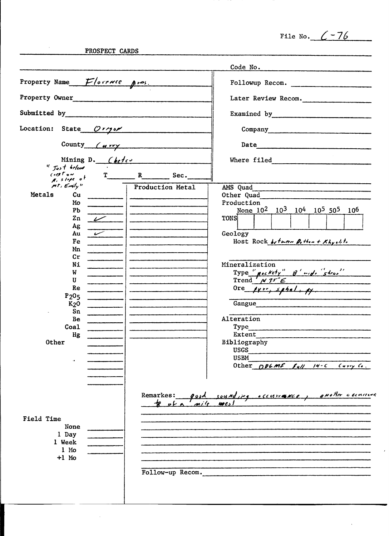File No.  $6 - 76$ 

 $\bar{\epsilon}$ 

 $\alpha$ 

PROSPECT CARDS

 $\sim 6\%$ 

|                                                                                                                                                                                                                                |                                          | Code No.                                                                                                                                                                                                                                                                                                                                                                                                                                                                                                    |
|--------------------------------------------------------------------------------------------------------------------------------------------------------------------------------------------------------------------------------|------------------------------------------|-------------------------------------------------------------------------------------------------------------------------------------------------------------------------------------------------------------------------------------------------------------------------------------------------------------------------------------------------------------------------------------------------------------------------------------------------------------------------------------------------------------|
| Property Name Florence pros.                                                                                                                                                                                                   |                                          | Followup Recom.                                                                                                                                                                                                                                                                                                                                                                                                                                                                                             |
| Property Owner and the contract of the contract of the contract of the contract of the contract of the contract of the contract of the contract of the contract of the contract of the contract of the contract of the contrac |                                          | Later Review Recom.                                                                                                                                                                                                                                                                                                                                                                                                                                                                                         |
| Submitted by                                                                                                                                                                                                                   |                                          | Examined by Theorem 2007                                                                                                                                                                                                                                                                                                                                                                                                                                                                                    |
| Location: State<br>O(190r)                                                                                                                                                                                                     |                                          |                                                                                                                                                                                                                                                                                                                                                                                                                                                                                                             |
| County $\left(\frac{u}{v}\right)$                                                                                                                                                                                              |                                          | Date<br>.<br>1980 - An Angele de Carlo de Carlo de Carlo de Carlo de Carlo de Carlo de Carlo de Carlo de Carlo de Carlo de                                                                                                                                                                                                                                                                                                                                                                                  |
| Mining $D.$ Chefes<br>" Just below                                                                                                                                                                                             |                                          |                                                                                                                                                                                                                                                                                                                                                                                                                                                                                                             |
| (100t)<br>$A, s$ lope of                                                                                                                                                                                                       | $T$ R Sec.                               |                                                                                                                                                                                                                                                                                                                                                                                                                                                                                                             |
| $mt$ , Emily"<br>Metals<br>Cu<br>Mo<br>P <sub>b</sub><br>Zn<br>$\nu$<br>Ag<br>Au<br>Fe<br>Mn<br>cr<br>Ni<br>W<br>U<br>Re<br>P <sub>2</sub> O <sub>5</sub><br>$K2$ 0<br>Sn<br>Be<br>Coa1<br>Hg<br><b>Other</b>                  | Production Metal<br>$k$ of $\sim$<br>m/e | AMS Quad<br>Other Quad<br>Production<br>None 10 <sup>2</sup> 10 <sup>3</sup> 10 <sup>4</sup> 10 <sup>5</sup> 50 <sup>5</sup> 10 <sup>6</sup><br><b>TONS</b><br>Geology<br>Host Rock between Dollar + Khyolts<br>Mineralization<br>Type " $\mu$ ockety" $\beta'$ wide "shoot"<br>Ore $\mu$ rr, $\mu$ hal, $\mu$<br>Gangue<br>Alteration<br>Type<br>Extent<br>Bibliography<br><b>USGS</b><br><b>USBM</b><br>Other $ODEML$ $[4]/14-C$ $(477)(6)$<br>Remarkes: good sounding occurrance, another occurred<br>we |
| Field Time<br>None<br>1 Day<br>1 Week<br>$1$ Mo<br>$+1$ Mo                                                                                                                                                                     |                                          | Follow-up Recom.                                                                                                                                                                                                                                                                                                                                                                                                                                                                                            |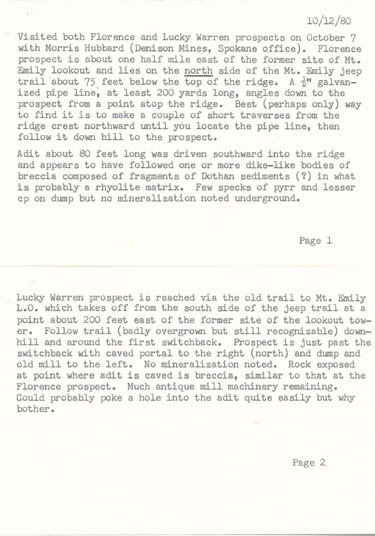## 10/12/80

Visited both Florence and Lucky Warren prospects on October 7 with Morris Hubbard (Denison Mines, Spokane office). Florence prospect is about one half mile east of the former site of Mt. Emily lookout and lies on the north side of the Mt. Emily jeep trail about 75 feet below the top of the ridge. A  $\frac{1}{2}$ " galvanized pipe line, at least 200 yards long, angles down to the prospect from a point atop the ridge. Best (perhaps only) way to find it is to make a couple of short traverses from the ridge crest northward until you locate the pipe line, then follow it down hill to the prospect.

 $\sim$ 

Adit about 80 feet long was driven southward into the ridge and appears to have followed one or more dike-like bodies of breccia composed of fragments of Dothan sediments(?) in what is probably a rhyolite matrix. Few specks of pyrr and lesser cp on dump but no mineralization noted underground.

Page 1

Lucky Warren prospect is reached via the old trail to Mt. Emily L.O. which takes off from the south side of the jeep trail at a point about 200 feet east of the former site of the lookout tower. Follow trail (badly overgrown but still recognizable) downhill and around the first switchback. Prospect is just past the switchback with caved portal to the right (north) and dump and old mill to the left. No mineralization noted. Rock exposed at point where adit is caved is breccia, similar to that at the Florence prospect. Much antique mill machinery remaining. Could probably poke a hole into the adit quite easily but why bother.